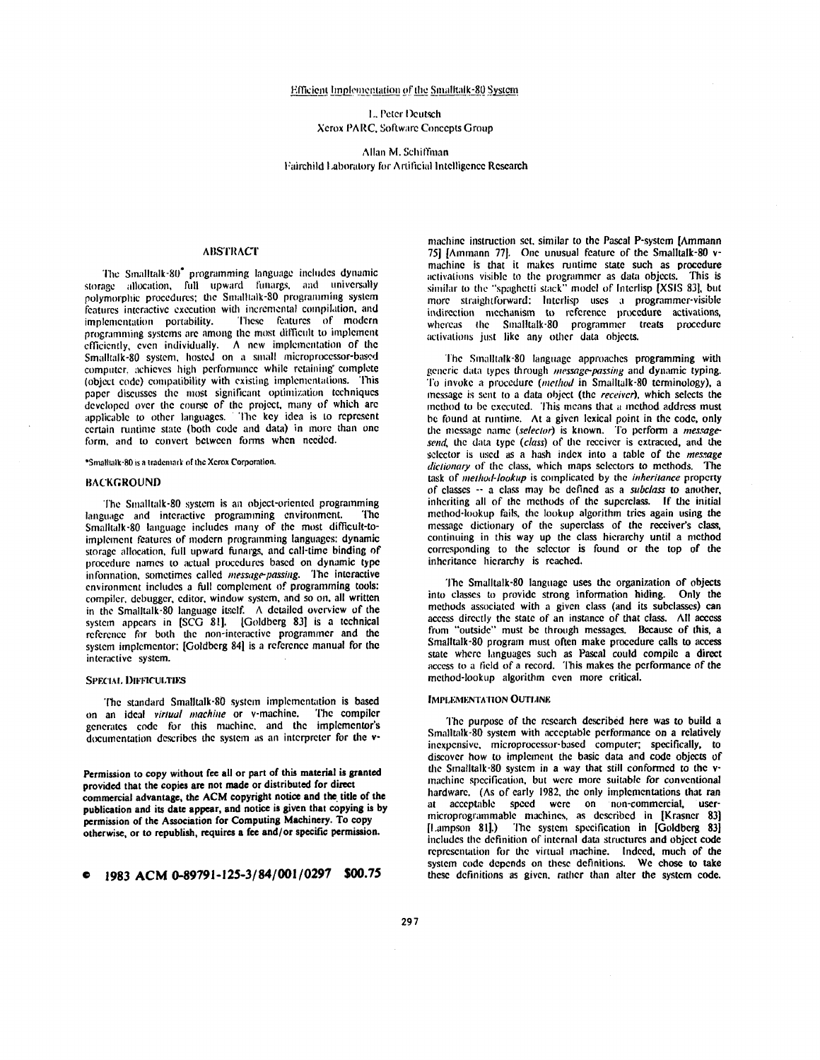## Efficient Implementation of the Smalltalk-80 System

L. Peter Deutsch **Xerox PARC, Software Concepts Group** 

Allan M. Schiffman Fairchild Laboratory for Artificial Intelligence Research

## **ABSTRACT**

The Smalltalk-80<sup>\*</sup> programming language includes dynamic storage allocation, full upward funargs, and universally polymorphic procedures; the Smalltalk-80 programming system features interactive execution with incremental compilation, and These features of modern implementation portability. programming systems are among the most difficult to implement efficiently, even individually. A new implementation of the Smalltalk-80 system, hosted on a small microprocessor-based computer, achieves high performance while retaining complete (object code) compatibility with existing implementations. This paper discusses the most significant optimization techniques developed over the course of the project, many of which are applicable to other languages. The key idea is to represent certain runtime state (both code and data) in more than one form, and to convert between forms when needed.

\*Smalltalk-80 is a trademark of the Xerox Corporation.

## **BACKGROUND**

The Smalltalk-80 system is an object-oriented programming language and interactive programming environment. The Smalltalk-80 language includes many of the most difficult-toimplement features of modern programming languages: dynamic storage allocation, full upward funargs, and call-time binding of procedure names to actual procedures based on dynamic type information, sometimes called message-passing. The interactive environment includes a full complement of programming tools: compiler, debugger, editor, window system, and so on, all written in the Smalltalk-80 language itself. A detailed overview of the system appears in [SCG 81]. [Goldberg 83] is a technical reference for both the non-interactive programmer and the system implementor; [Goldberg 84] is a reference manual for the interactive system.

# **SPECIAL DIFFICULTIES**

The standard Smalltalk-80 system implementation is based on an ideal virtual machine or v-machine. The compiler generates code for this machine, and the implementor's documentation describes the system as an interpreter for the v-

Permission to copy without fee all or part of this material is granted provided that the copies are not made or distributed for direct commercial advantage, the ACM copyright notice and the title of the publication and its date appear, and notice is given that copying is by permission of the Association for Computing Machinery. To copy otherwise, or to republish, requires a fee and/or specific permission.

machine instruction set, similar to the Pascal P-system [Ammann 75] [Ammann 77]. One unusual feature of the Smalltalk-80 vmachine is that it makes runtime state such as procedure activations visible to the programmer as data objects. This is similar to the "spaghetti stack" model of Interlisp [XSIS 83], but more straightforward: Interlisp uses a programmer-visible indirection mechanism to reference procedure activations,<br>whereas the Smalltalk-80 programmer treats procedure activations just like any other data objects.

The Smalltalk-80 language approaches programming with generic data types through message-passing and dynamic typing. To invoke a procedure *(method* in Smalltalk-80 terminology), a message is sent to a data object (the receiver), which selects the method to be executed. This means that a method address must be found at runtime. At a given lexical point in the code, only the message name (selector) is known. To perform a messagesend, the data type (class) of the receiver is extracted, and the selector is used as a hash index into a table of the message dictionary of the class, which maps selectors to methods. The task of *method-lookup* is complicated by the *inheritance* property of classes -- a class may be defined as a subclass to another, inheriting all of the methods of the superclass. If the initial method-lookup fails, the lookup algorithm tries again using the message dictionary of the superclass of the receiver's class, continuing in this way up the class hierarchy until a method corresponding to the selector is found or the top of the inheritance hierarchy is reached.

The Smalltalk-80 language uses the organization of objects into classes to provide strong information hiding. Only the methods associated with a given class (and its subclasses) can access directly the state of an instance of that class. All access from "outside" must be through messages. Because of this, a Smalltalk-80 program must often make procedure calls to access state where languages such as Pascal could compile a direct access to a field of a record. This makes the performance of the method-lookup algorithm even more critical.

## **IMPLEMENTATION OUTLINE**

The purpose of the research described here was to build a Smalltalk-80 system with acceptable performance on a relatively inexpensive, microprocessor-based computer; specifically, to discover how to implement the basic data and code objects of the Smalltalk-80 system in a way that still conformed to the vmachine specification, but were more suitable for conventional hardware. (As of early 1982, the only implementations that ran at acceptable speed were on non-commercial, usermicroprogrammable machines, as described in [Krasner 83] ILampson 811.) The system specification in IGoldberg 83 includes the definition of internal data structures and object code representation for the virtual machine. Indeed, much of the system code depends on these definitions. We chose to take these definitions as given, rather than alter the system code.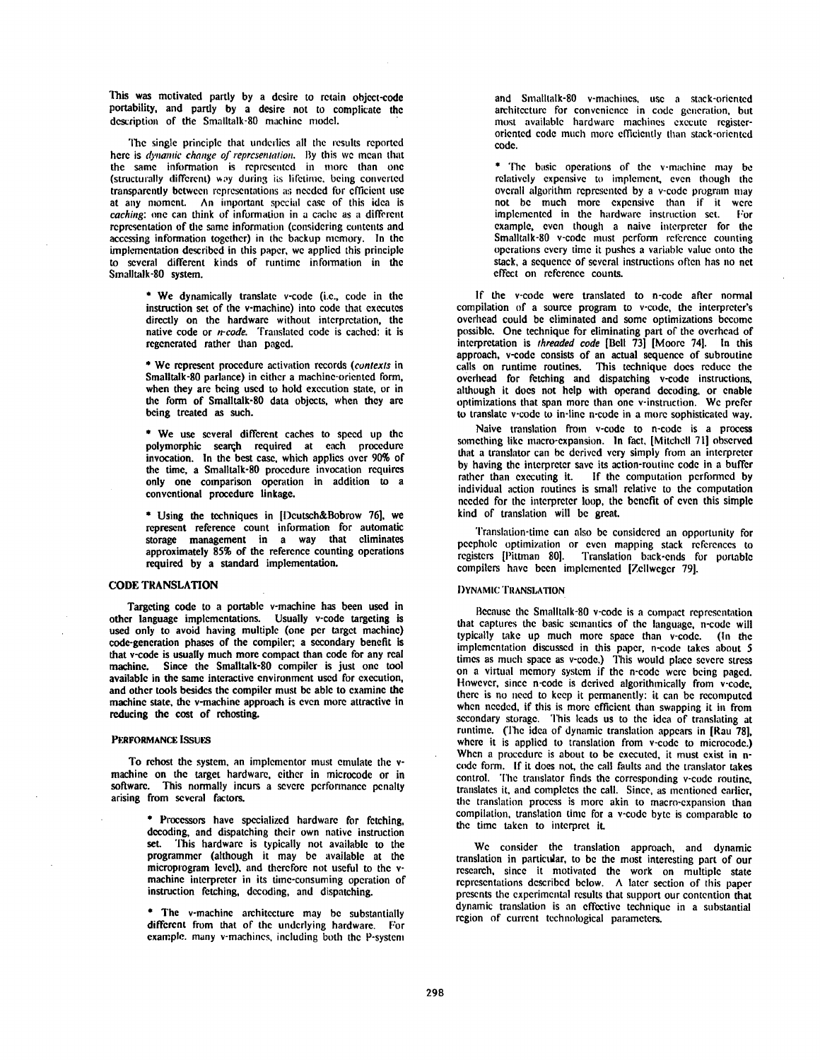This was motivated partly by a desire to retain object-code portability, and pardy by a desire not to complicate the description of the Smalltalk-80 machine model.

The single principle that underlies all the results reported here is *dynamic change of representation.* By this we mean that the same information is represented in more than one (structurally different) way during its lifetime, being converted transparently between representations as needed for efficient use at any moment. An important special case of this idea is *caching:* one can think of information in a cache as a different representation of the same information (considering contents and accessing information together) in the backup memory. In the implementation described in this paper, we applied this principle to several different kinds of runtime information in the Smalltalk-80 system.

> \* We dynamically translate v-code (i.e., code in the instruction set of the v-machine) into code that executes directly on the hardware without interpretation, the native code or *n-code.* Translated code is cached: it is regenerated rather than paged.

> \* We represent procedure activation records *(contexts* in Smalltalk-80 parlance) in either a machine-oriented form, when they are being used to hold execution state, or in the form of Smalltalk-80 data objects, when they are being treated as such.

> \* We use several different caches to speed up the polymorphic search required at each procedure invocation. In the best case, which applies over 90% of the time, a Smalltalk-80 procedure invocation requires only one comparison operation in addition to a conventional procedure linkage.

> \* Using the techniques in [Deutsch&Bobrow 76], we represent reference count information for automatic storage management in a way that eliminates approximately 85% of the reference counting operations required by a standard implementation.

# CODE TRANSLATION

Targeting code to a portable v-machine has been used in other language implementations. Usually v-code targeting is used only to avoid having multiple (one per target machine) code-generation phases of the compiler; a secondary benefit is that v-code is usually much more compact than code for any real machine. Since the Smalltalk-80 compiler is just one tool available in the same interactive environment used for execution, and other tools besides the compiler must be able to examine the machine state, the v-machine approach is even more attractive in reducing the cost of rehosting.

#### PERFORMANCE ISSUES

To rehost the system, an implementor must emulate the vmachine on the target hardware, either in microcode or in software. This normally incurs a severe performance penalty This normally incurs a severe performance penalty arising from several factors.

> \* Processors have specialized hardware for fetching, decoding, and dispatching their own native instruction set. This hardware is typically not available to the programmer (although it may be available at the microprogram level), and therefore not useful to the vmachine interpreter in its time-consuming operation of instruction fetching, decoding, and dispatching.

> \* The v-machine architecture may be substantially different from that of the underlying hardware. For example, many v-machines, including both the P-system

and Smalltalk-80 v-machines, use a stack-oriented architecture for convenience in code generation, but most available hardware machines execute registeroriented code much more efficiently than stack-oriented code.

\* The basic operations of the v-machine may be relatively expensive to implement, even though the overall algorithm represented by a v-code program may not be much more expensive than if it were implemented in the hardware instruction set. For example, even though a naive interpreter for the Smalltalk-80 v-code must perform reference counting operations every time it pushes a variable value onto the stack, a sequence of several instructions often has no net effect on reference counts.

If the v-code were translated to n-code after normal compilation of a source program to v-code, the interpreter's overhead could be eliminated and some optimizations become possible. One technique for eliminating part of the overhead of interpretation is *threaded code* [Bell 73] [Moore 741. In this approach, v-code consists of an actual sequence of subroutine calls on runtime routines. This technique does reduce the overhead for fetching and dispatching v-code instructions, although it does not help with operand decoding, or enable optimizations that span more than one v-instruction. We prefer to translate v-code to in-line n-code in a more sophisticated way.

Naive translation from v-code to n-code is a process something like macro-expansion. In fact, [Mitchell 71] observed that a translator can be derived very simply from an interpreter by having the interpreter save its action-routine code in a buffer rather than executing it. If the computation performed by individual action routines is small relative to the computation needed for the interpreter loop, the benefit of even this simple kind of translation will be great.

Translation-time can also be considered an opportunity for peephole optimization or even mapping stack references to registers [Pittman 80]. Translation back-ends for portable compilers have been implemented [Zellweger 79].

## DYNAMIC TRANSI,ATION

Because the Smalltalk-80 v-code is a compact representation that captures the basic semantics of the language, n-code will typically take up much more space than v-code. (In the implementation discussed in this paper, n-code takes about 5 times as much space as v-code.) This would place severe stress on a virtual memory system if the n-code were being paged. However, since n-code is derived algorithmically from v-code. there is no need to keep it permanently: it can be recomputed when needed, if this is more efficient than swapping it in from secondary storage. This leads us to the idea of translating at runtime. (The idea of dynamic translation appears in [Rau 78], where it is applied to translation from v-code to microcode.) When a procedure is about to be executed, it must exist in ncode form. If it does not, the call faults and the translator takes control. The translator finds the corresponding v-code routine, translates it, and completes the call. Since, as mentioned earlier, the translation process is more akin to macro-expansion than compilation, translation time for a v-code byte is comparable to the time taken to interpret it.

We consider the translation approach, and dynamic translation in partietdar, to be the most interesting part of our research, since it motivated the work on multiple state rcprcsentations described below. A later section of this paper presents the experimental results that support our contention that dynamic translation is an effective technique in a substantial region of current technological parameters.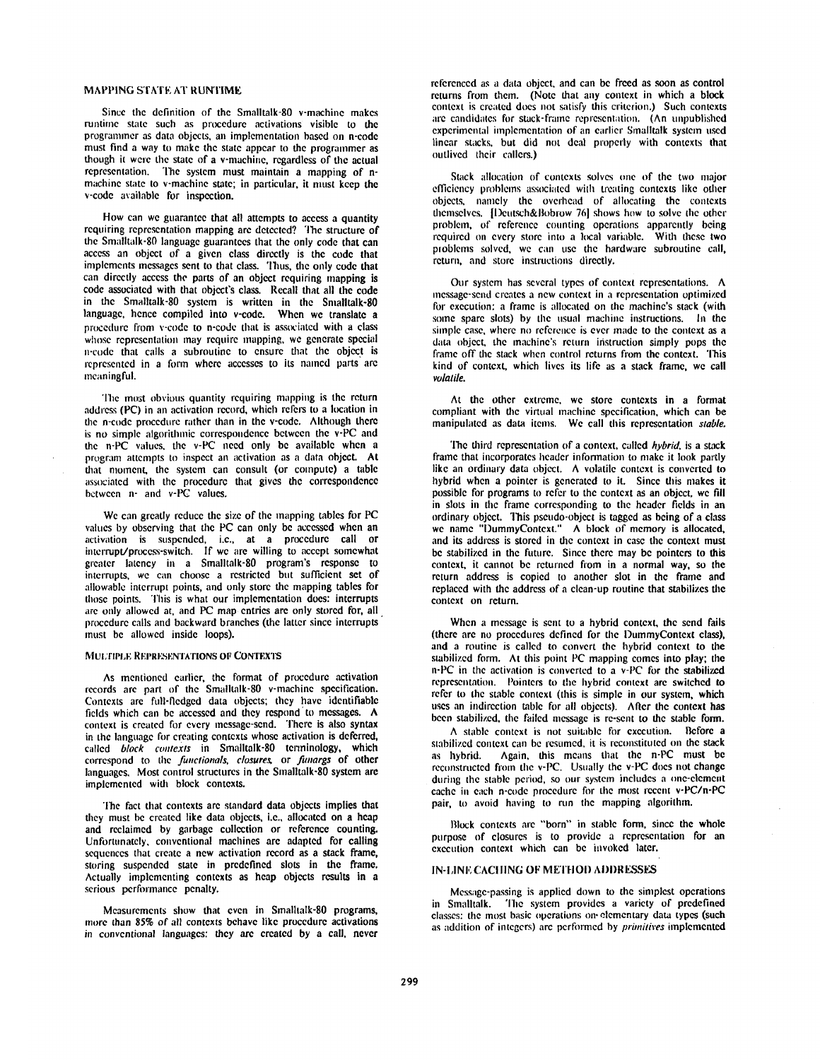## MAPPING STATE AT RUNTIME

Since the definition of the Smalltalk-80 v-machine makes runtime state such as procedure activations visible to the progrannner as data objects, an implementation based on n-code must find a way to make the state appear to the programmer as though it were the state of a v-machine, regardless of the actual representation. The system must maintain a mapping of nmachine state to v-machine state; in particular, it must keep the v-code available for inspection.

How can we guarantee that all attempts to access a quantity requiring representation mapping are detected? The structure of the Smalltalk-80 language guarantees that the only code that can access an object of a given class directly is the code that implements messages sent to that class. Thus, the only code that can directly access the parts of an object requiring mapping is code associated with that object's class. Recall that all the code in the Smalltalk-80 system is written in the Smalltalk-80 language, hence compiled into v-code. When we translate a procedure from v-code to n-code that is associated with a class whose representation may require mapping, we generate special n-code that calls a subroutine to ensure that the object is represented in a form where accesses to its named parts are meaningful.

The most obvious quantity requiring mapping is the return address (PC) in an activation record, which refers to a location in the n-code procedure rather than in the v-code. Although there is no simple algorithmic correspondence between the v-PC and the n-PC values, the v-PC need only be available when a program attempts to inspect an activation as a data objcct. At that moment, the system can consult (or compute) a table associated with the procedure that gives the correspondence between n- and v-PC values.

We can greatly reduce the size of the mapping tables for PC values by observing that the PC can only be accessed when an activation is suspended, i.e., at a procedure call or  $interrunt/process-switch$ . If we are willing to accept some greater latency in a Smalltalk-80 program's response interrupts, we can choose a restricted but sufficient set of allowable interrupt points, and only store the mapping tables for those points. This is what our implementation does: interrupts are only allowed at, and PC map entries are only stored for, all procedure calls and backward branches (the latter since interrupts must be allowed inside loops).

## MULTIPLE REPRESENTATIONS OF CONTEXTS

As mentioned earlier, the format of procedure activation records are part of the Smalltalk-80 v-machine specification. Contexts are full-fledged data objects; they have identifiable fields which can be accessed and they respond'to messages. A context is created for every message-send. There is also syntax in the language for creating contexts whose activation is deferred, called *block contexts* in Smalltalk-80 terminology, which correspond to the *functional& closures,* or *funargs* of other languages. Most control structures in the Smalltalk-80 system are implemented with block contexts.

The fact that contexts are standard data objects implies that they must be created like data objects, i.e., allocated on a heap and reclaimed by garbage collection or reference counting. Unforttmately. conventional machines are adapted for calling sequences that create a new activation record as a stack frame, storing suspended state in predefined slots in the frame. Actually implementing contexts as heap objects results in a serious performance penalty.

Measurements show that even in Smalltalk-80 programs, more than 85% of all contexts behave like procedure activations in conventional languages: they are created by a call, never referenced as a data object, and can be freed as soon as control returns from them. (Note that any context in which a block context is created does not satisfy this criterion.) Such contexts are candidates for stack-frame representation. (An unpublished experimental implementation of an earlier Smalltalk system used linear stacks, but did not deal properly with contexts that outlived their callers.)

Stack allocation of contexts solves one of the two major efficiency problems associated with treating contexts like other objects, namely the ovcrbead of allocating the contexts themselves. [Deutsch&Bobrow 76] shows how to solve the other problem, of reference counting operations apparently being required on every store into a local variable. With these two problems solved, we can use the hardware subroutine call, return, and store instructions directly.

Our system has several types of context representations. A message-send creates a new context in a representation optimized for execution: a frame is allocated on the machine's stack (with some spare slots) by the usual machine instructions. In the simple case, where no reference is ever made to the context as a data object, the machine's return instruction simply pops the frame off the stack when control returns from the context. This kind of context, which lives its life as a stack frame, we call *volatile.* 

At the other extreme, we store contexts in a format compliant with the virtual machine specification, which can be manipulated as data items. We call this representation *stable*.

The third representation of a context, called *hybrid,* is a stack frame that incorporates header information to make it look partly like an ordinary data object. A volatile context is converted to hybrid when a pointer is generated to it. Since this makes it possible for programs to refer to the context as an object, we fill in slots in the frame corresponding to the header fields in an ordinary object. This pseudo-object is tagged as being of a class we name "DummyContext." A block of memory is allocated, and its address is stored in the context in case the context must be stabilized in the future. Since there may be pointers to this context, it cannot be returned fiom in a normal way, so the return address is copied to another slot in the frame and replaced with the address of a clean-up routine that stabilizes the context on return.

When a message is sent to a hybrid context, the send fails (there are no procedures defined for the DummyContext class), and a routine is called to convert the hybrid context to the stabilized form. At this point PC mapping comes into play; the n-PC in the activation is converted to a v-PC for the stabilized representation. Pointers to the hybrid context are switched to refer to the stable context (this is simple in our system, which uses an indirection table for all objects). After the context has been stabilized, the failed message is re-sent to the stable form.

A stable context is not suitable for execution. Before a stabilized context can be resumed, it is reconstituted on the stack as hybrid. Again, this means that the n-PC must reconstructed from the v-PC. Usually the v-PC does not c during the stable period, so our system includes a one-element cache in each n-code procedure for the most recent v-PC/n-PC pair, to avoid having to run the mapping algorithm.

Block contexts are "born" in stable form, since the whole purpose of closures is to provide a representation for an execution context which can be invoked later.

## IN-LINE CACHING OF METHOD ADDRESSES

Message-passing is applied down to the simplest operations in Smalltalk. The system provides a variety of predefined classes: the most basic operations on elementary data types (such as addition of integers) are performed by *primitives* implemented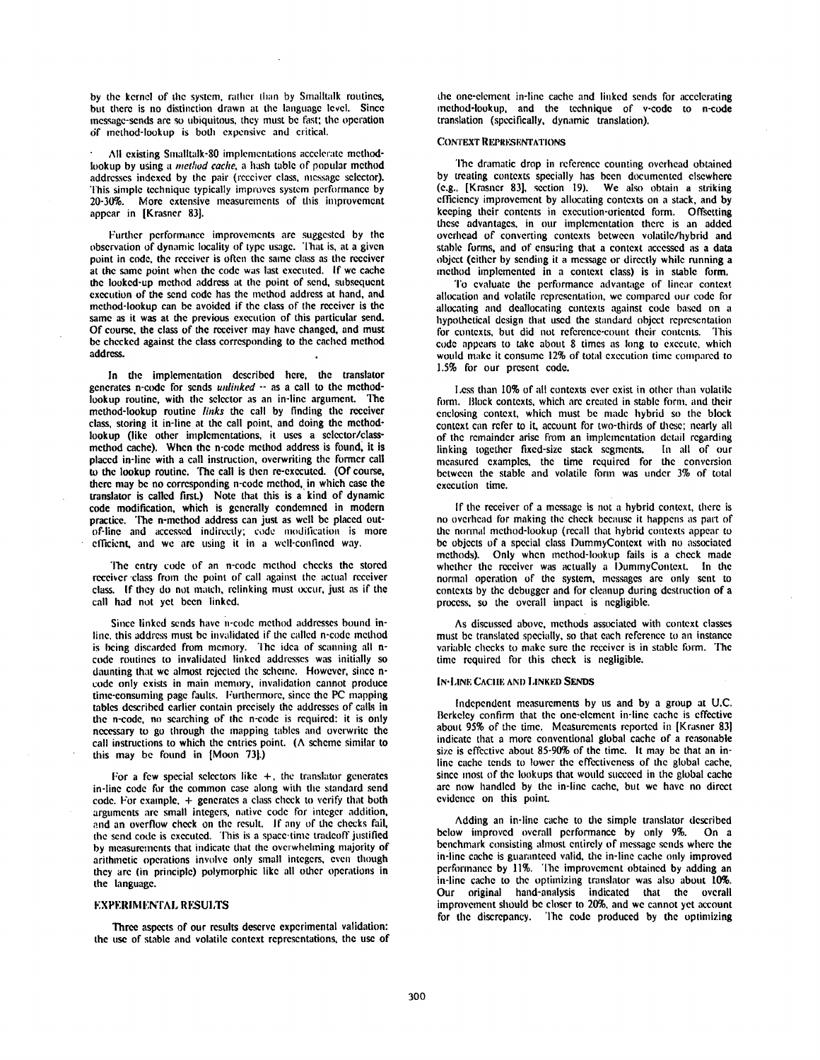by the kernel of the system, rather than by Smalltalk routines, but there is no distinction drawn at the language level. Since message-sends are so ubiquitous, they must be fast; the operation 6f method-lookup is both expensive and critical.

All existing Smalltalk-80 implementations accelerate methodlookup by using a *method cache,* a hash table of pooular method addresses indexed by the pair (receiver class, message selector). This simple technique typically improves system performance by 20-30%. More extensive measurements of this improvement appear in [Krasner 83].

Further performance improvements are suggested by the observation of dynamic locality of lype usage. That is, at a given point in code, the receiver is often the same class as the receiver at the same point when the code was last executed. If we cache the looked-up method address at the point of send, subsequent execution of the send code has the method address at hand, and method-lookup can be avoided if the class of the receiver is the same as it was at the previous execution of this particular send. Of course, the class of the receiver may have changed, and must be checked against the class corresponding to the cached method address.

In the implementation described here, the translator generates n-code for sends *unlinked* -- as a call to the methodlookup routine, with the selector as an in-line argument. The method-lookup routine *links the* call by finding the receiver class, storing it in-line at the call point, and doing the methodlookup (like other implementations, it uses a selector/classmethod cache). When the n-code method address is found, it is placed in-line with a call instruction, overwriting the former call to the lookup routine. The call is then re-executed. (Of course, there may be no corresponding n-code method, in which case the translator is called firsL) Note that this is a kind of dynamic code modification, which is generally condemned in modern practice. The n-method address can just as well be placed outof-line and accessed indirectly; code modification is more efficient, and we are using it in a well-confined way.

The entry code of an n-code method checks the stored receiver class from the point of call against the actual receiver class. If they do not match, relinking must occur, just as if the call had not yet been linked.

Since linked sends have n'code method addresses bound inline, this address must be invalidated if the called n-code method is being discarded from memory. The idea of scanning all ncode routines to invalidated linked addresses was initially so daunting that we almost rejected the scheme. However, since ncode only exists in main memory, invalidation cannot produce time-consuming page faults. Furthermore. since the PC mapping tables described earlier contain precisely the addresses of calls in the n-code, no searching of the n-code is required: it is only necessary to go through the mapping tables and overwrite the call instructions to which the entries point. ( $\Lambda$  scheme similar to this may be found in [Moon 73].)

For a few special selectors like  $+$ , the translator generates in-line code for the common case along with the standard send  $code. For example, + generates a class check to verify that both$ arguments are small integers, native code for integer addition, and an overflow check on the result. If any of the checks fail, the send code is executed. This is a space-time tradeoff justified by measurements that indicate that the ovcrwhehning majority of arithmetic operations invoh'c only small integers, even though they are (in principle) polymorphic like all other operations in the language.

## **EXPERIMENTAL RESULTS**

Three aspects of our results deserve experimental validation: the use of stable and volatile context representations, the use of

the one-clement in-line cache and linked sends for accelerating method-lookup, and the technique of v-codc to n-code translation (specifically, dynamic translation).

## CONTEXT REPRESENTATIONS

The dramatic drop in reference counting overhead obtained by treating contexts specially has been documented elsewhere  $(c.g., [Krasner 83], section 19)$ . We also obtain a striking efficiency improvement by allocating contexts on a stack, and by keeping their contents in execution-oriented form. Offsetting these advantages, in our implementation there is an added overhead of converting contexts between volatile/hybrid and stable forms, and of ensuring that a context accessed as a data object (either by sending it a message or directly while running a method implemented in a context class) is in stable form.

To evaluate the performance advantage of linear context. allocation and volatile representation, we compared our code for allocating and deallocating contexts against code based on a hypothetical design that used the standard object representation for contexts, but did not reference-count their contents. This code appears to take about 8 times as long to execute, which would make it consume 12% of total execution time compared to 1.5% for our present code.

Less than 10% of all contexts ever exist in other than volatile form. Block contexts, which are created in stable form, and their cnclosing context, which must be madc hybrid so the block context can refer to it, account for two-thirds of these: nearly all of the remainder arise from an implementation detail regarding linking together fixed-size stack segments. In all of our measured examples, the time rcquired for thc conversion between the stable and volatile form was under 3% of total execution time.

If the receiver of a message is not a hybrid context, there is no overhead for making the check bccausc it happens as part of the normal method-lookup (recall that hybrid contexts appear to be objects of a special class DummyContcxt with no associated methods). Only when method-loukup fails is a check made whether the receiver was actually a DummyContext. In the normal operation of the system, mcssagcs are only sent to contexts by thc debugger and for cleanup during dcstruction of a process, so the overall impact is negligible.

As discussed above, methods associated with context classes must be translated specially, so that each rcfcrence to an instance variable checks to make sure the receiver is in stable form. The time required for this check is negligible.

#### IN-LINE CACHE AND LINKED SENDS

Independent measurements by us and by a group at U.C. Bcrkcley confirm that the one-element in-line cache is cffective about 95% of the time. Measuremcnts reported in [Krasner 83] indicate that a more conventional global cache of a reasonable size is effective about 85-90% of the time. It may be that an inlinc cache tends to lower the effectiveness of the global cache, since most of the lookups that would succeed in the global cache are now handled by the in-line cache, but we have no direct evidence on this point.

Adding an in-line cache to the simple translator described below improved overall performance by only 9%. On a benchmark consisting ahnost entirely of message sends where the in-'line cache is guaranteed valid, the in-line cache only improved performance by 11%. The improvement obtained by adding an in-line cache to the optimizing translator was also about L0%. Our original hand-analysis indicated that the overall improvement should be closer to 20%, and we cannot yet account for the discrepancy. The code produced by the optimizing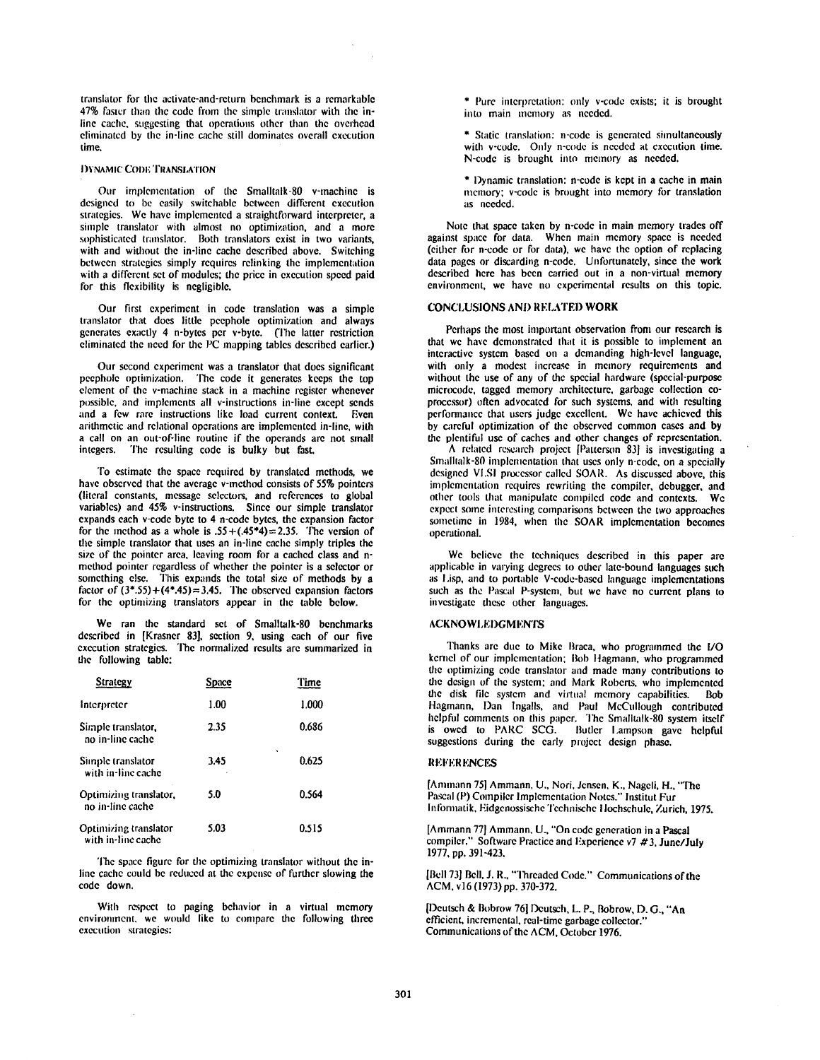translator for the activate-and-return benchmark is a remarkable 47% faster than the code from the simple translator with the inline cache, suggesting that operations other than the overhead eliminated by the in-line cache still dominates overall execution<br>time

## **I)YNAMIC CODE TRANSLATION**

Our implementation of the Smalltalk-80 v-machine is designed to be easily switchable between different execution strategies. We have implemented a straightforward interpreter, a simple translator with almost no optimization, and a more sophisticated translator. Both translators exist in two variants, with and without the in-line cache described above. Switching between strategies simply requires relinking the implementation with a different set of modules; the price in execution speed paid for this flexibility is negligible.

Our first experiment in code translation was a simple translator that does little peephole optimization and always generates exactly 4 n-bytes per v-byte. (The latter restriction eliminated the need for the PC mapping tables described earlier.)

Our second experiment was a translator that does significant peephole optimization. The code it generates keeps the top element of the v-machine stack in a machine register whenever possible, and implements all v-instructions in-line except sends and a few rare instructions like load current context. Even arithmetic and relational operations are implemented in-line, with a call on an out-of-line routine if the operands are not small<br>integers. The resulting code is bulky but fast The resulting code is bulky but fast.

To estimate the space required by translated methods, we have observed that the average v-method consists of 55% pointers (literal constants, message selectors, and references to global variables) and 45% v-instructions. Since our simple translator expands each v-code byte to 4 n-code bytes, the expansion factor for the method as a whole is  $.55 + (.45*4) = 2.35$ . The version of the simple translator that uses an in-line cache simply triples the size of the pointer area, leaving room for a cached class and nmethod pointer regardless of whether the pointer is a selector or something else. This expands the total size of methods by a factor of  $(3^*$ .55)+ $(4^*$ .45)=3.45. The observed expansion factors for the optimizing translators appear in the table below.

We ran the standard set of Smalltalk-80 benchmarks described in [Krasner 83], section 9, using each of our five execution strategies. The normalized results are summarized in the following table:

| Strategy                                    | Space | Time       |
|---------------------------------------------|-------|------------|
| Interpreter                                 | 1.00  | 1.000      |
| Simple translator,<br>no in-line cache      | 2.35  | 0.686      |
| Simple translator<br>with in-line cache     | 3.45  | ٠<br>0.625 |
| Optimizing translator,<br>no in-line cache  | 5.0   | 0.564      |
| Optimizing translator<br>with in-line cache | 5.03  | 0.515      |

The space figure for the optimizing translator without the inline cache could be reduced at the expense of further slowing the code down.

With respcct to paging behavior in a virtual memory environment, we would like to compare the following three execution strategies:

\* Pure interpretation: only v-code exists; it is brought into main memory as needed.

\* Static translation: n-code is generated simultaneously with v-code. Only n-code is needed at execution time. N-code is brought into memory as needed,

\* Dynamic translation: n-code is kept in a cache in main memory: v-code is brought into memory for translation as needed.

Note that space taken by n-code in main memory trades off against space for data. When main memory space is needed (either for n-code or for data), we have the option of replacing data pages or discarding n-code. Unfortunately, since the work described here has been carried out in a non-virtual memory environment, we have no experimental results on this topic.

#### CONCLUSIONS AND RELATED WORK

Perhaps the most important observation from our research is that we have demonstrated that it is possible to implement an interactive system based on a demanding high-level language. with only a modest increase in memory requirements and without the use of any of the special hardware (special-purpose mierocude, tagged memory architecture, garbage collection coprocessor) often advocated for such systems, and with resulting perfonnanee that users judge excellent. We have achieved this by careful optimization of the observed common cases and by the plentiful use of caches and other changes of representation.

A related research project [Patterson 83] is investigating a Smalllalk-80 implementation that uses only n-code, on a specially designed VI,SI processor called SOAR. As discussed above, this implementation requires rewriting the compiler, debugger, and other tools that manipulate compiled code and contexts, We expect some interesting comparisons between the two approaches sometime in 1984, when the SOAR implementation becomes operational.

We believe the techniques described in this paper are applicable in varying degrees to other late-bound languages such as I,isp, and to portable V-code-based language implementations such as the Pascal P-system, but we have no current plans to investigate these other languages.

## ACKNOWLEDGMENTS

Thanks are due to Mike Braca, who programmed the I/O kernel of our implementation: Bob Hagmann, who programmed the optimizing code translator and made many contributions to the design of the system: and Mark Roberts, who implemented the disk file system and virtual memory capabilities. **Bob** Hagmann, Dan Ingalls, and Paul McCullough contributed helpful comments on this paper. The Smalltalk-80 system itself<br>is owed to PARC SCG. Butler Lampson gave helpful is owed to PARC SCG. suggestions during the early project design phase.

#### **REFERENCES**

[Ammann 75] Ammann, U., Nori, Jensen, K., Nageli, H., "The Pascal (P) Compiler Implementation Notes." Institut Fur Informatik, Eidgenossische Technische Hochschule, Zurich, 1975.

[Ammann 77] Ammann, U., "On code generation in a Pascal compiler." Software Practice and Experience v7  $\#3$ , June 1977, pp. 391-423.

[Bell 73] Bell, J. R., "Threaded Code." Communications of the ACM, el6 (1973) pp. 370-372.

[l)eutsch & Bobrow 76] Dcutsch, L. P., Bobrow, D. G., "An efficient, incremental, real-time garbage collector." Communications of the ACM, October 1976.